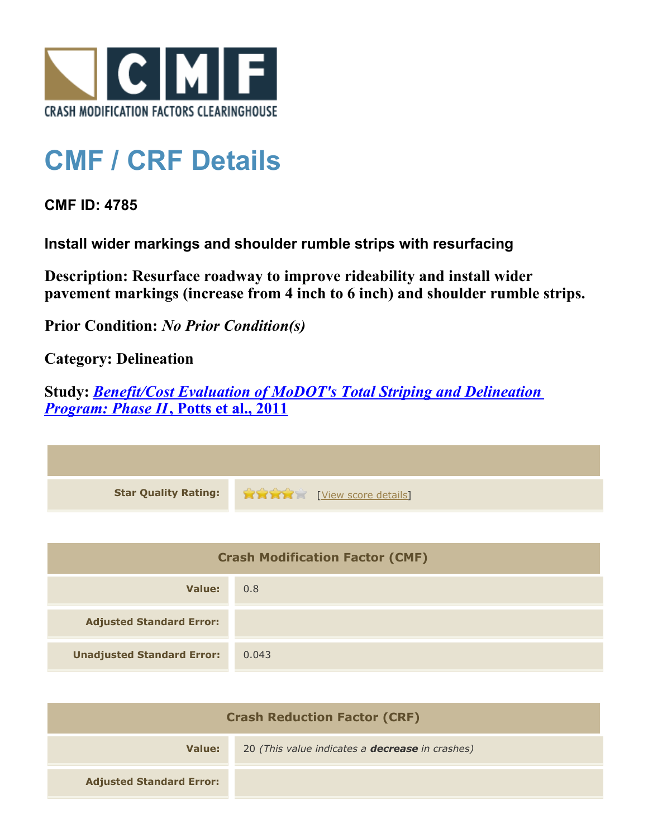

## **CMF / CRF Details**

**CMF ID: 4785**

**Install wider markings and shoulder rumble strips with resurfacing**

**Description: Resurface roadway to improve rideability and install wider pavement markings (increase from 4 inch to 6 inch) and shoulder rumble strips.**

**Prior Condition:** *No Prior Condition(s)*

**Category: Delineation**

**Study:** *[Benefit/Cost Evaluation of MoDOT's Total Striping and Delineation](http://www.cmfclearinghouse.org/study_detail.cfm?stid=309) [Program: Phase II](http://www.cmfclearinghouse.org/study_detail.cfm?stid=309)***[, Potts et al., 2011](http://www.cmfclearinghouse.org/study_detail.cfm?stid=309)**

| Star Quality Rating: 1999 (View score details) |
|------------------------------------------------|
|                                                |

| <b>Crash Modification Factor (CMF)</b> |       |
|----------------------------------------|-------|
| Value:                                 | 0.8   |
| <b>Adjusted Standard Error:</b>        |       |
| <b>Unadjusted Standard Error:</b>      | 0.043 |

| <b>Crash Reduction Factor (CRF)</b> |                                                        |
|-------------------------------------|--------------------------------------------------------|
| Value:                              | 20 (This value indicates a <b>decrease</b> in crashes) |
| <b>Adjusted Standard Error:</b>     |                                                        |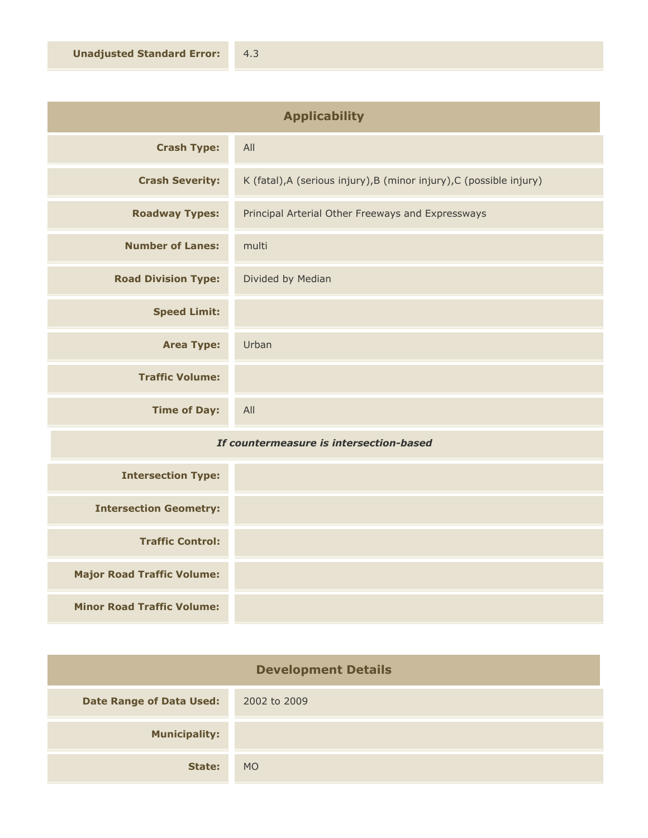| <b>Applicability</b>       |                                                                      |
|----------------------------|----------------------------------------------------------------------|
| <b>Crash Type:</b>         | All                                                                  |
| <b>Crash Severity:</b>     | K (fatal), A (serious injury), B (minor injury), C (possible injury) |
| <b>Roadway Types:</b>      | Principal Arterial Other Freeways and Expressways                    |
| <b>Number of Lanes:</b>    | multi                                                                |
| <b>Road Division Type:</b> | Divided by Median                                                    |
| <b>Speed Limit:</b>        |                                                                      |
| <b>Area Type:</b>          | Urban                                                                |
| <b>Traffic Volume:</b>     |                                                                      |
| <b>Time of Day:</b>        | All                                                                  |

## *If countermeasure is intersection-based*

| <b>Intersection Type:</b>         |  |
|-----------------------------------|--|
| <b>Intersection Geometry:</b>     |  |
| <b>Traffic Control:</b>           |  |
| <b>Major Road Traffic Volume:</b> |  |
| <b>Minor Road Traffic Volume:</b> |  |

| <b>Development Details</b>      |              |
|---------------------------------|--------------|
| <b>Date Range of Data Used:</b> | 2002 to 2009 |
| <b>Municipality:</b>            |              |
| State:                          | <b>MO</b>    |